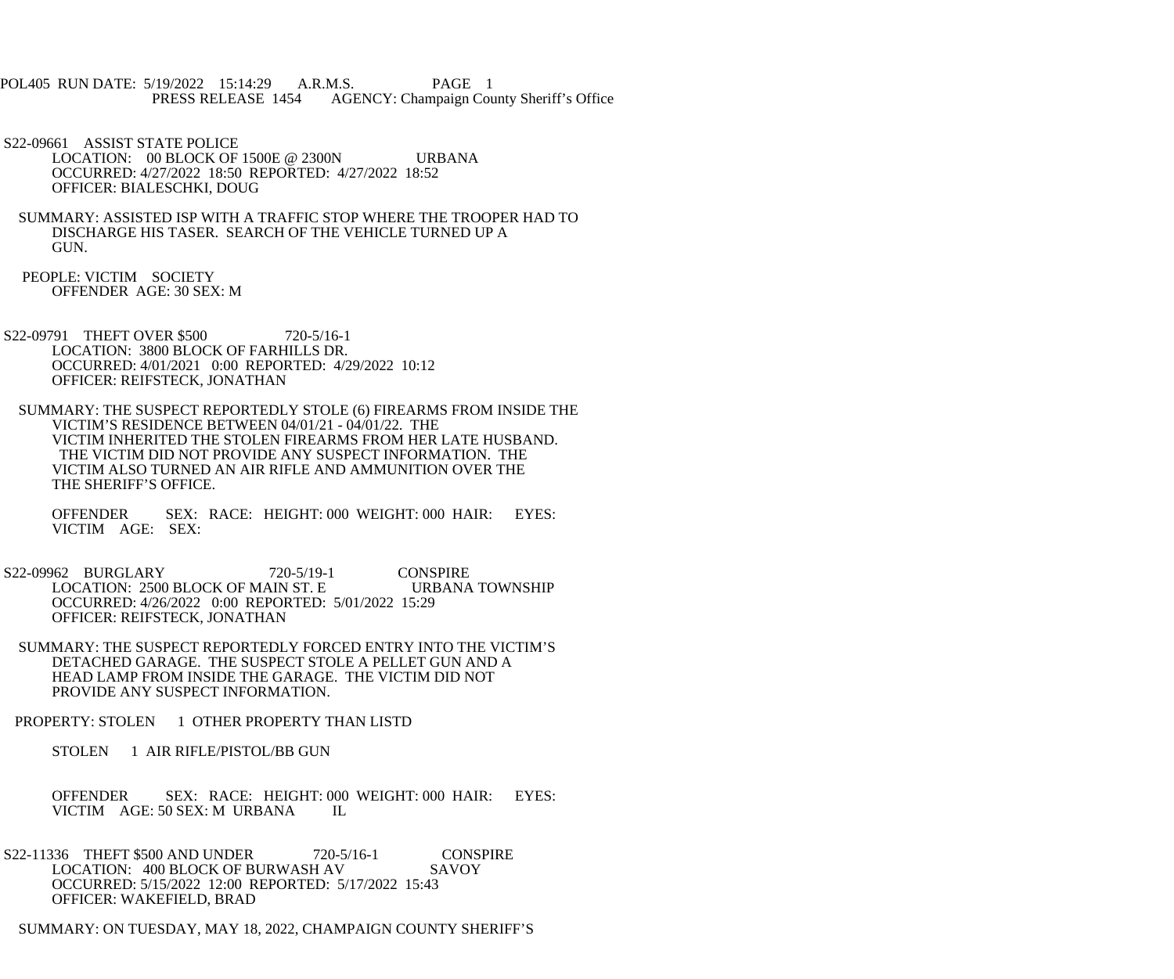- POL405 RUN DATE: 5/19/2022 15:14:29 A.R.M.S. PAGE 1 PRESS RELEASE 1454 AGENCY: Champaign County Sheriff's Office
- S22-09661 ASSIST STATE POLICE LOCATION: 00 BLOCK OF 1500E @ 2300N URBANA OCCURRED: 4/27/2022 18:50 REPORTED: 4/27/2022 18:52 OFFICER: BIALESCHKI, DOUG
- SUMMARY: ASSISTED ISP WITH A TRAFFIC STOP WHERE THE TROOPER HAD TO DISCHARGE HIS TASER. SEARCH OF THE VEHICLE TURNED UP A GUN.
- PEOPLE: VICTIM SOCIETY OFFENDER AGE: 30 SEX: M
- S22-09791 THEFT OVER \$500 720-5/16-1 LOCATION: 3800 BLOCK OF FARHILLS DR. OCCURRED: 4/01/2021 0:00 REPORTED: 4/29/2022 10:12 OFFICER: REIFSTECK, JONATHAN
- SUMMARY: THE SUSPECT REPORTEDLY STOLE (6) FIREARMS FROM INSIDE THE VICTIM'S RESIDENCE BETWEEN 04/01/21 - 04/01/22. THE VICTIM INHERITED THE STOLEN FIREARMS FROM HER LATE HUSBAND. THE VICTIM DID NOT PROVIDE ANY SUSPECT INFORMATION. THE VICTIM ALSO TURNED AN AIR RIFLE AND AMMUNITION OVER THE THE SHERIFF'S OFFICE.
	- OFFENDER SEX: RACE: HEIGHT: 000 WEIGHT: 000 HAIR: EYES: VICTIM AGE: SEX:
- S22-09962 BURGLARY 720-5/19-1 CONSPIRE LOCATION: 2500 BLOCK OF MAIN ST. E URBANA TOWNSHIP OCCURRED: 4/26/2022 0:00 REPORTED: 5/01/2022 15:29 OFFICER: REIFSTECK, JONATHAN
- SUMMARY: THE SUSPECT REPORTEDLY FORCED ENTRY INTO THE VICTIM'S DETACHED GARAGE. THE SUSPECT STOLE A PELLET GUN AND A HEAD LAMP FROM INSIDE THE GARAGE. THE VICTIM DID NOT PROVIDE ANY SUSPECT INFORMATION.
- PROPERTY: STOLEN 1 OTHER PROPERTY THAN LISTD
	- STOLEN 1 AIR RIFLE/PISTOL/BB GUN
	- OFFENDER SEX: RACE: HEIGHT: 000 WEIGHT: 000 HAIR: EYES: VICTIM AGE: 50 SEX: M URBANA IL
- S22-11336 THEFT \$500 AND UNDER 720-5/16-1 CONSPIRE<br>LOCATION: 400 BLOCK OF BURWASH AV SAVOY LOCATION: 400 BLOCK OF BURWASH AV OCCURRED: 5/15/2022 12:00 REPORTED: 5/17/2022 15:43 OFFICER: WAKEFIELD, BRAD
- SUMMARY: ON TUESDAY, MAY 18, 2022, CHAMPAIGN COUNTY SHERIFF'S